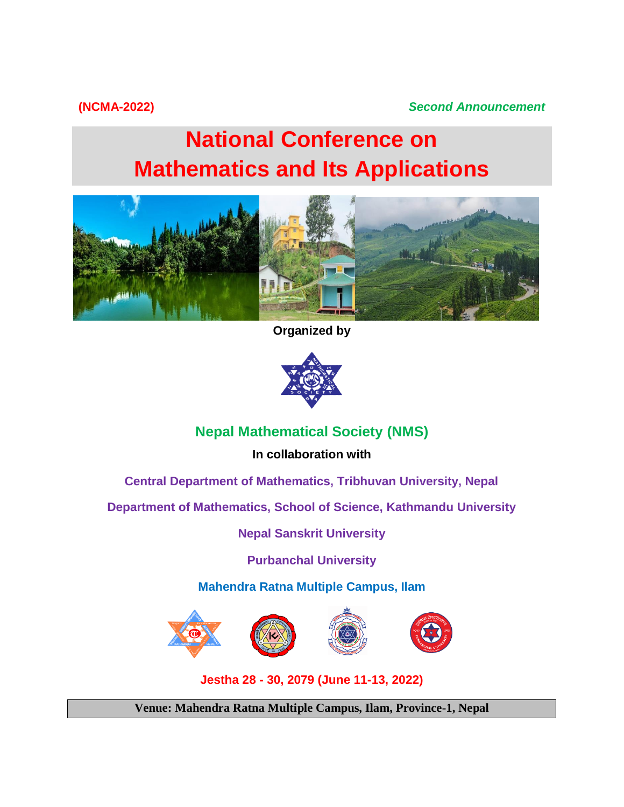# **(NCMA-2022)** *Second Announcement*

# **National Conference on Mathematics and Its Applications**



**Organized by**



# **Nepal Mathematical Society (NMS)**

**In collaboration with**

**Central Department of Mathematics, Tribhuvan University, Nepal**

**Department of Mathematics, School of Science, Kathmandu University**

**Nepal Sanskrit University**

**Purbanchal University**

**Mahendra Ratna Multiple Campus, Ilam**



**Jestha 28 - 30, 2079 (June 11-13, 2022)**

**Venue: Mahendra Ratna Multiple Campus, Ilam, Province-1, Nepal**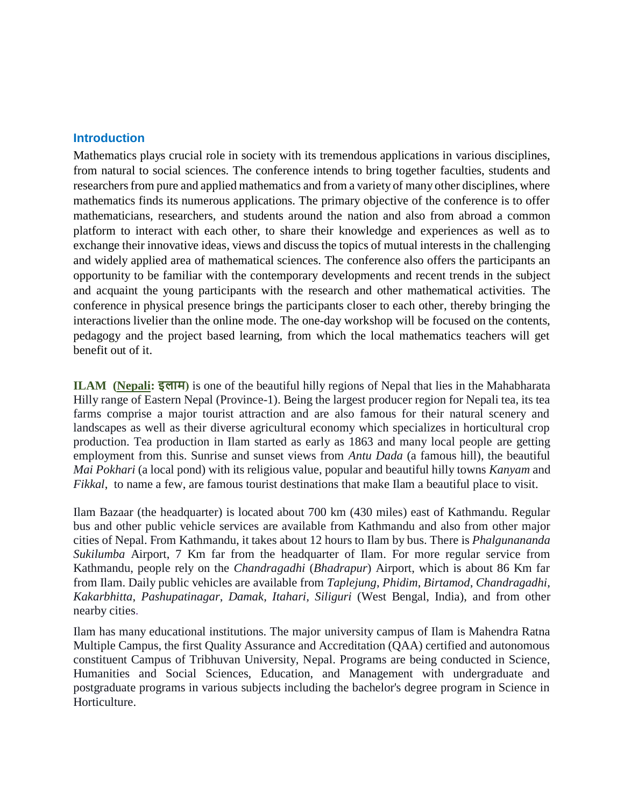#### **Introduction**

Mathematics plays crucial role in society with its tremendous applications in various disciplines, from natural to social sciences. The conference intends to bring together faculties, students and researchers from pure and applied mathematics and from a variety of many other disciplines, where mathematics finds its numerous applications. The primary objective of the conference is to offer mathematicians, researchers, and students around the nation and also from abroad a common platform to interact with each other, to share their knowledge and experiences as well as to exchange their innovative ideas, views and discuss the topics of mutual interests in the challenging and widely applied area of mathematical sciences. The conference also offers the participants an opportunity to be familiar with the contemporary developments and recent trends in the subject and acquaint the young participants with the research and other mathematical activities. The conference in physical presence brings the participants closer to each other, thereby bringing the interactions livelier than the online mode. The one-day workshop will be focused on the contents, pedagogy and the project based learning, from which the local mathematics teachers will get benefit out of it.

**ILAM [\(Nepali:](https://en.wikipedia.org/wiki/Nepali_language) इलाम)** is one of the beautiful hilly regions of Nepal that lies in the Mahabharata Hilly range of Eastern Nepal (Province-1). Being the largest producer region for Nepali tea, its tea farms comprise a major tourist attraction and are also famous for their natural scenery and landscapes as well as their diverse agricultural economy which specializes in horticultural crop production. Tea production in Ilam started as early as 1863 and many local people are getting employment from this. Sunrise and sunset views from *Antu Dada* (a famous hill), the beautiful *Mai Pokhari* (a local pond) with its religious value, popular and beautiful hilly towns *Kanyam* and *Fikkal*, to name a few, are famous tourist destinations that make Ilam a beautiful place to visit.

Ilam Bazaar (the headquarter) is located about 700 km (430 miles) east of Kathmandu. Regular bus and other public vehicle services are available from Kathmandu and also from other major cities of Nepal. From Kathmandu, it takes about 12 hours to Ilam by bus. There is *Phalgunananda Sukilumba* Airport, 7 Km far from the headquarter of Ilam. For more regular service from Kathmandu, people rely on the *Chandragadhi* (*Bhadrapur*) Airport, which is about 86 Km far from Ilam. Daily public vehicles are available from *Taplejung*, *Phidim*, *Birtamod*, *Chandragadhi*, *Kakarbhitta*, *Pashupatinagar*, *Damak*, *Itahari, Siliguri* (West Bengal, India), and from other nearby cities.

Ilam has many educational institutions. The major university campus of Ilam is Mahendra Ratna Multiple Campus, the first Quality Assurance and Accreditation (QAA) certified and autonomous constituent Campus of Tribhuvan University, Nepal. Programs are being conducted in Science, Humanities and Social Sciences, Education, and Management with undergraduate and postgraduate programs in various subjects including the bachelor's degree program in Science in Horticulture.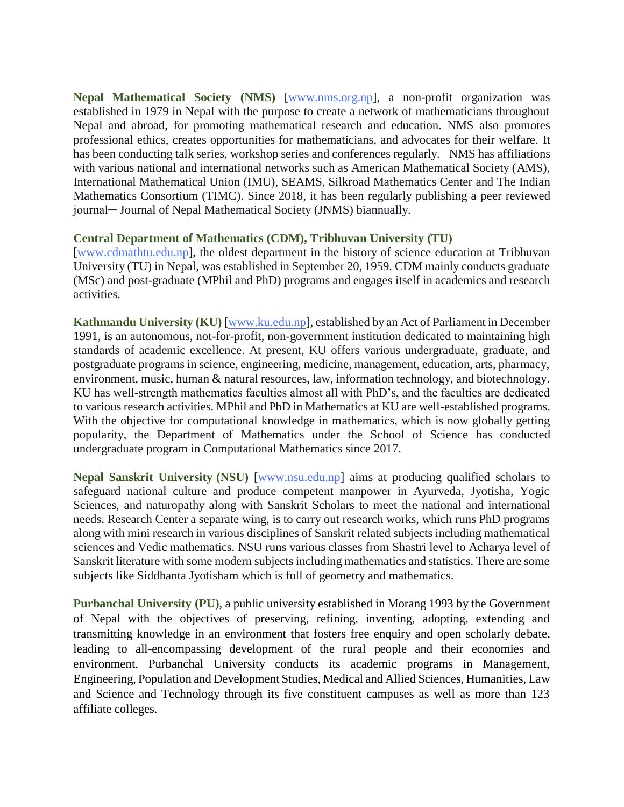**Nepal Mathematical Society (NMS)** [\[www.nms.org.np\]](http://www.nms.org.np/), a non-profit organization was established in 1979 in Nepal with the purpose to create a network of mathematicians throughout Nepal and abroad, for promoting mathematical research and education. NMS also promotes professional ethics, creates opportunities for mathematicians, and advocates for their welfare. It has been conducting talk series, workshop series and conferences regularly. NMS has affiliations with various national and international networks such as American Mathematical Society (AMS), International Mathematical Union (IMU), SEAMS, Silkroad Mathematics Center and The Indian Mathematics Consortium (TIMC). Since 2018, it has been regularly publishing a peer reviewed journal─ Journal of Nepal Mathematical Society (JNMS) biannually.

#### **Central Department of Mathematics (CDM), Tribhuvan University (TU)**

[\[www.cdmathtu.edu.np\]](http://www.cdmathtu.edu.np/), the oldest department in the history of science education at Tribhuvan University (TU) in Nepal, was established in September 20, 1959. CDM mainly conducts graduate (MSc) and post-graduate (MPhil and PhD) programs and engages itself in academics and research activities.

**Kathmandu University (KU)** [\[www.ku.edu.np\]](http://www.ku.edu.np/), established by an Act of Parliament in December 1991, is an autonomous, not-for-profit, non-government institution dedicated to maintaining high standards of academic excellence. At present, KU offers various undergraduate, graduate, and postgraduate programs in science, engineering, medicine, management, education, arts, pharmacy, environment, music, human & natural resources, law, information technology, and biotechnology. KU has well-strength mathematics faculties almost all with PhD's, and the faculties are dedicated to various research activities. MPhil and PhD in Mathematics at KU are well-established programs. With the objective for computational knowledge in mathematics, which is now globally getting popularity, the Department of Mathematics under the School of Science has conducted undergraduate program in Computational Mathematics since 2017.

**Nepal Sanskrit University (NSU)** [\[www.nsu.edu.np\]](http://www.nsu.edu.np/) aims at producing qualified scholars to safeguard national culture and produce competent manpower in Ayurveda, Jyotisha, Yogic Sciences, and naturopathy along with Sanskrit Scholars to meet the national and international needs. Research Center a separate wing, is to carry out research works, which runs PhD programs along with mini research in various disciplines of Sanskrit related subjects including mathematical sciences and Vedic mathematics. NSU runs various classes from Shastri level to Acharya level of Sanskrit literature with some modern subjects including mathematics and statistics. There are some subjects like Siddhanta Jyotisham which is full of geometry and mathematics.

**Purbanchal University (PU)**, a public university established in Morang 1993 by the Government of Nepal with the objectives of preserving, refining, inventing, adopting, extending and transmitting knowledge in an environment that fosters free enquiry and open scholarly debate, leading to all-encompassing development of the rural people and their economies and environment. Purbanchal University conducts its academic programs in Management, Engineering, Population and Development Studies, Medical and Allied Sciences, Humanities, Law and Science and Technology through its five constituent campuses as well as more than 123 affiliate colleges.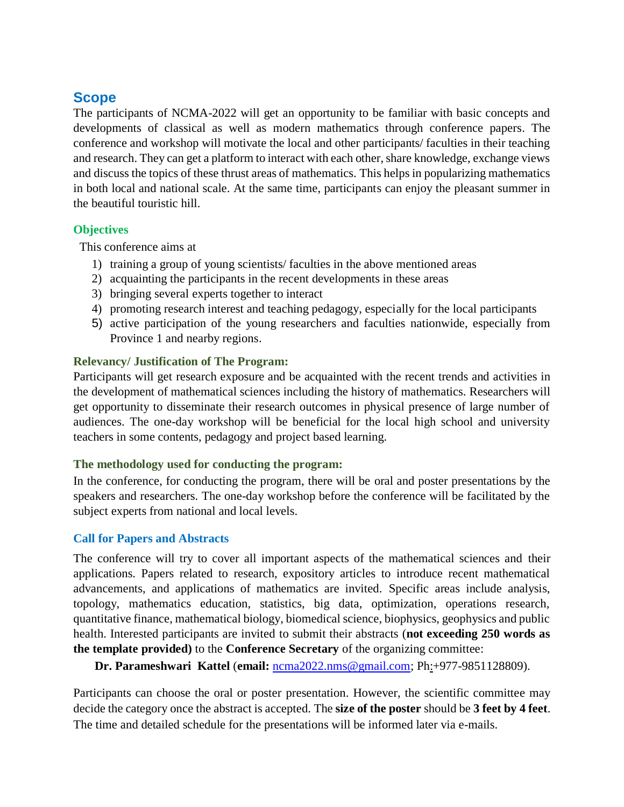# **Scope**

The participants of NCMA-2022 will get an opportunity to be familiar with basic concepts and developments of classical as well as modern mathematics through conference papers. The conference and workshop will motivate the local and other participants/ faculties in their teaching and research. They can get a platform to interact with each other, share knowledge, exchange views and discuss the topics of these thrust areas of mathematics. This helps in popularizing mathematics in both local and national scale. At the same time, participants can enjoy the pleasant summer in the beautiful touristic hill.

# **Objectives**

This conference aims at

- 1) training a group of young scientists/ faculties in the above mentioned areas
- 2) acquainting the participants in the recent developments in these areas
- 3) bringing several experts together to interact
- 4) promoting research interest and teaching pedagogy, especially for the local participants
- 5) active participation of the young researchers and faculties nationwide, especially from Province 1 and nearby regions.

# **Relevancy/ Justification of The Program:**

Participants will get research exposure and be acquainted with the recent trends and activities in the development of mathematical sciences including the history of mathematics. Researchers will get opportunity to disseminate their research outcomes in physical presence of large number of audiences. The one-day workshop will be beneficial for the local high school and university teachers in some contents, pedagogy and project based learning.

## **The methodology used for conducting the program:**

In the conference, for conducting the program, there will be oral and poster presentations by the speakers and researchers. The one-day workshop before the conference will be facilitated by the subject experts from national and local levels.

## **Call for Papers and Abstracts**

The conference will try to cover all important aspects of the mathematical sciences and their applications. Papers related to research, expository articles to introduce recent mathematical advancements, and applications of mathematics are invited. Specific areas include analysis, topology, mathematics education, statistics, big data, optimization, operations research, quantitative finance, mathematical biology, biomedical science, biophysics, geophysics and public health. Interested participants are invited to submit their abstracts (**not exceeding 250 words as the template provided)** to the **Conference Secretary** of the organizing committee:

 **Dr. Parameshwari Kattel** (**email:** [ncma2022.nms@gmail.com;](mailto:ncma2022.nms@gmail.com) Ph:+977-9851128809).

Participants can choose the oral or poster presentation. However, the scientific committee may decide the category once the abstract is accepted. The **size of the poster** should be **3 feet by 4 feet**. The time and detailed schedule for the presentations will be informed later via e-mails.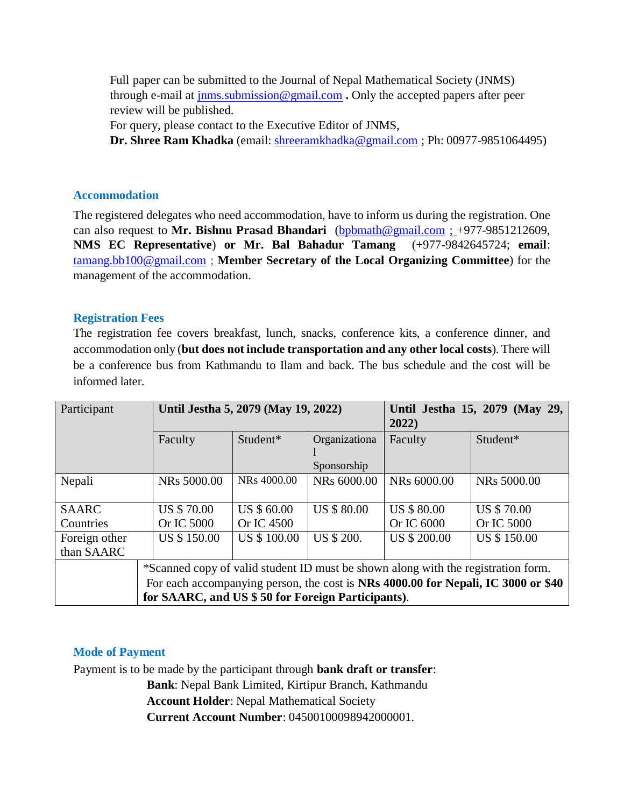Full paper can be submitted to the Journal of Nepal Mathematical Society (JNMS) through e-mail at [jnms.submission@gmail.com](mailto:jnms.submission@gmail.com) **.** Only the accepted papers after peer review will be published.

For query, please contact to the Executive Editor of JNMS,

**Dr. Shree Ram Khadka** (email: [shreeramkhadka@gmail.com](mailto:shreeramkhadka@gmail.com) ; Ph: 00977-9851064495)

#### **Accommodation**

The registered delegates who need accommodation, have to inform us during the registration. One can also request to **Mr. Bishnu Prasad Bhandari** [\(bpbmath@gmail.com](mailto:bpbmath@gmail.com) ; +977-9851212609, **NMS EC Representative**) **or Mr. Bal Bahadur Tamang** (+977-9842645724; **email**: [tamang.bb100@gmail.com](mailto:tamang.bb100@gmail.com) ; **Member Secretary of the Local Organizing Committee**) for the management of the accommodation.

## **Registration Fees**

The registration fee covers breakfast, lunch, snacks, conference kits, a conference dinner, and accommodation only (**but does not include transportation and any other local costs**). There will be a conference bus from Kathmandu to Ilam and back. The bus schedule and the cost will be informed later.

| Participant   | Until Jestha 5, 2079 (May 19, 2022)                                                                                                    |                    |                    | Until Jestha 15, 2079 (May 29,<br>2022) |                    |
|---------------|----------------------------------------------------------------------------------------------------------------------------------------|--------------------|--------------------|-----------------------------------------|--------------------|
|               | Faculty                                                                                                                                | Student*           | Organizationa      | Faculty                                 | Student*           |
|               |                                                                                                                                        |                    | Sponsorship        |                                         |                    |
| Nepali        | NRs 5000.00                                                                                                                            | NRs 4000.00        | NRs 6000.00        | NRs 6000.00                             | NRs 5000.00        |
|               |                                                                                                                                        |                    |                    |                                         |                    |
| <b>SAARC</b>  | <b>US \$70.00</b>                                                                                                                      | US \$ 60.00        | <b>US \$ 80.00</b> | <b>US \$ 80.00</b>                      | <b>US \$70.00</b>  |
| Countries     | Or IC 5000                                                                                                                             | Or IC 4500         |                    | Or IC 6000                              | Or IC 5000         |
| Foreign other | US \$150.00                                                                                                                            | <b>US \$100.00</b> | US \$ 200.         | <b>US \$ 200.00</b>                     | <b>US \$150.00</b> |
| than SAARC    |                                                                                                                                        |                    |                    |                                         |                    |
|               | *Scanned copy of valid student ID must be shown along with the registration form.                                                      |                    |                    |                                         |                    |
|               | For each accompanying person, the cost is NRs 4000.00 for Nepali, IC 3000 or \$40<br>for SAARC, and US \$50 for Foreign Participants). |                    |                    |                                         |                    |
|               |                                                                                                                                        |                    |                    |                                         |                    |

## **Mode of Payment**

Payment is to be made by the participant through **bank draft or transfer**: **Bank**: Nepal Bank Limited, Kirtipur Branch, Kathmandu **Account Holder**: Nepal Mathematical Society

**Current Account Number**: 04500100098942000001.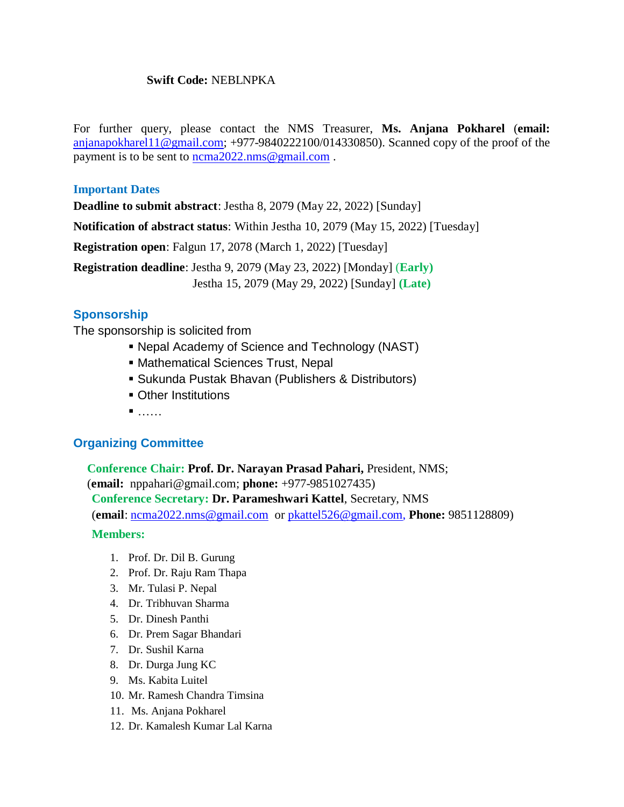#### **Swift Code:** NEBLNPKA

For further query, please contact the NMS Treasurer, **Ms. Anjana Pokharel** (**email:** [anjanapokharel11@gmail.com;](mailto:anjanapokharel11@gmail.com) +977-9840222100/014330850). Scanned copy of the proof of the payment is to be sent to [ncma2022.nms@gmail.com](mailto:ncma2022.nms@gmail.com).

#### **Important Dates**

**Deadline to submit abstract**: Jestha 8, 2079 (May 22, 2022) [Sunday]

**Notification of abstract status**: Within Jestha 10, 2079 (May 15, 2022) [Tuesday]

**Registration open**: Falgun 17, 2078 (March 1, 2022) [Tuesday]

**Registration deadline**: Jestha 9, 2079 (May 23, 2022) [Monday] (**Early)**

Jestha 15, 2079 (May 29, 2022) [Sunday] **(Late)**

# **Sponsorship**

The sponsorship is solicited from

- Nepal Academy of Science and Technology (NAST)
- Mathematical Sciences Trust, Nepal
- Sukunda Pustak Bhavan (Publishers & Distributors)
- **Other Institutions**
- $\blacksquare$ .....

## **Organizing Committee**

**Conference Chair: Prof. Dr. Narayan Prasad Pahari,** President, NMS; (**email:** nppahari@gmail.com; **phone:** +977-9851027435) **Conference Secretary: Dr. Parameshwari Kattel**, Secretary, NMS (**email**: [ncma2022.nms@gmail.com](mailto:ncma2022.nms@gmail.com) or [pkattel526@gmail.com,](mailto:pkattel528@gmail.com) **Phone:** 9851128809)

#### **Members:**

- 1. Prof. Dr. Dil B. Gurung
- 2. Prof. Dr. Raju Ram Thapa
- 3. Mr. Tulasi P. Nepal
- 4. Dr. Tribhuvan Sharma
- 5. Dr. Dinesh Panthi
- 6. Dr. Prem Sagar Bhandari
- 7. Dr. Sushil Karna
- 8. Dr. Durga Jung KC
- 9. Ms. Kabita Luitel
- 10. Mr. Ramesh Chandra Timsina
- 11. Ms. Anjana Pokharel
- 12. Dr. Kamalesh Kumar Lal Karna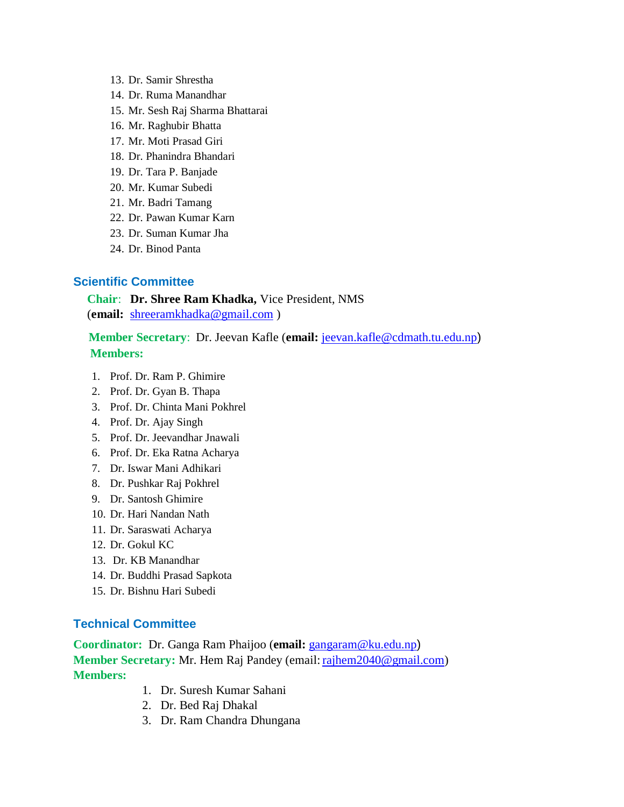- 13. Dr. Samir Shrestha
- 14. Dr. Ruma Manandhar
- 15. Mr. Sesh Raj Sharma Bhattarai
- 16. Mr. Raghubir Bhatta
- 17. Mr. Moti Prasad Giri
- 18. Dr. Phanindra Bhandari
- 19. Dr. Tara P. Banjade
- 20. Mr. Kumar Subedi
- 21. Mr. Badri Tamang
- 22. Dr. Pawan Kumar Karn
- 23. Dr. Suman Kumar Jha
- 24. Dr. Binod Panta

### **Scientific Committee**

#### **Chair**: **Dr. Shree Ram Khadka,** Vice President, NMS (**email:** [shreeramkhadka@gmail.com](mailto:shreeramkhadka@gmail.com) )

## **Member Secretary**: Dr. Jeevan Kafle (**email:** [jeevan.kafle@cdmath.tu.edu.np](mailto:jeevan.kafle@cdmath.tu.edu.np)) **Members:**

- 1. Prof. Dr. Ram P. Ghimire
- 2. Prof. Dr. Gyan B. Thapa
- 3. Prof. Dr. Chinta Mani Pokhrel
- 4. Prof. Dr. Ajay Singh
- 5. Prof. Dr. Jeevandhar Jnawali
- 6. Prof. Dr. Eka Ratna Acharya
- 7. Dr. Iswar Mani Adhikari
- 8. Dr. Pushkar Raj Pokhrel
- 9. Dr. Santosh Ghimire
- 10. Dr. Hari Nandan Nath
- 11. Dr. Saraswati Acharya
- 12. Dr. Gokul KC
- 13. Dr. KB Manandhar
- 14. Dr. Buddhi Prasad Sapkota
- 15. Dr. Bishnu Hari Subedi

#### **Technical Committee**

**Coordinator:** Dr. Ganga Ram Phaijoo (**email:** [gangaram@ku.edu.np](mailto:gangaram@ku.edu.np)) **Member Secretary:** Mr. Hem Raj Pandey (email: [rajhem2040@gmail.com\)](mailto:rajhem2040@gmail.com) **Members:**

- 1. Dr. Suresh Kumar Sahani
- 2. Dr. Bed Raj Dhakal
- 3. Dr. Ram Chandra Dhungana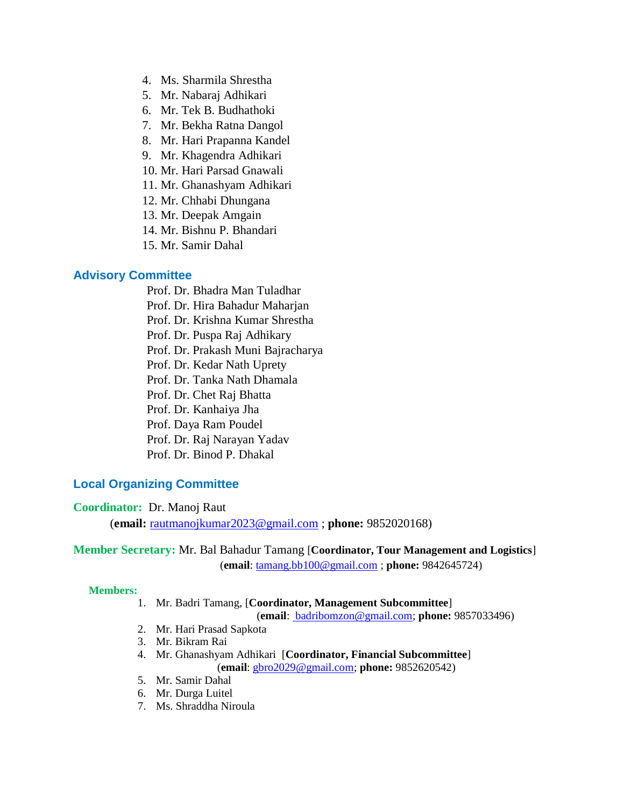- 4. Ms. Sharmila Shrestha
- 5. Mr. Nabaraj Adhikari
- 6. Mr. Tek B. Budhathoki
- 7. Mr. Bekha Ratna Dangol
- 8. Mr. Hari Prapanna Kandel
- 9. Mr. Khagendra Adhikari
- 10. Mr. Hari Parsad Gnawali
- 11. Mr. Ghanashyam Adhikari
- 12. Mr. Chhabi Dhungana
- 13. Mr. Deepak Amgain
- 14. Mr. Bishnu P. Bhandari
- 15. Mr. Samir Dahal

#### **Advisory Committee**

- Prof. Dr. Bhadra Man Tuladhar
- Prof. Dr. Hira Bahadur Maharjan
- Prof. Dr. Krishna Kumar Shrestha
- Prof. Dr. Puspa Raj Adhikary
- Prof. Dr. Prakash Muni Bajracharya
- Prof. Dr. Kedar Nath Uprety
- Prof. Dr. Tanka Nath Dhamala
- Prof. Dr. Chet Raj Bhatta
- Prof. Dr. Kanhaiya Jha
- Prof. Daya Ram Poudel
- Prof. Dr. Raj Narayan Yadav
- Prof. Dr. Binod P. Dhakal

#### **Local Organizing Committee**

#### **Coordinator:** Dr. Manoj Raut

(**email:** [rautmanojkumar2023@gmail.com](mailto:rautmanojkumar2023@gmail.com) ; **phone:** 9852020168)

#### **Member Secretary:** Mr. Bal Bahadur Tamang [**Coordinator, Tour Management and Logistics**] (**email**: [tamang.bb100@gmail.com](mailto:tamang.bb100@gmail.com) ; **phone:** 9842645724)

#### **Members:**

#### 1. Mr. Badri Tamang, [**Coordinator, Management Subcommittee**]

(**email**: [badribomzon@gmail.com;](mailto:%20badribomzon@gmail.com) **phone:** 9857033496)

- 2. Mr. Hari Prasad Sapkota
- 3. Mr. Bikram Rai
- 4. Mr. Ghanashyam Adhikari [**Coordinator, Financial Subcommittee**] (**email**: [gbro2029@gmail.com;](mailto:gbro2029@gmail.com) **phone:** 9852620542)
- 5. Mr. Samir Dahal
- 6. Mr. Durga Luitel
- 7. Ms. Shraddha Niroula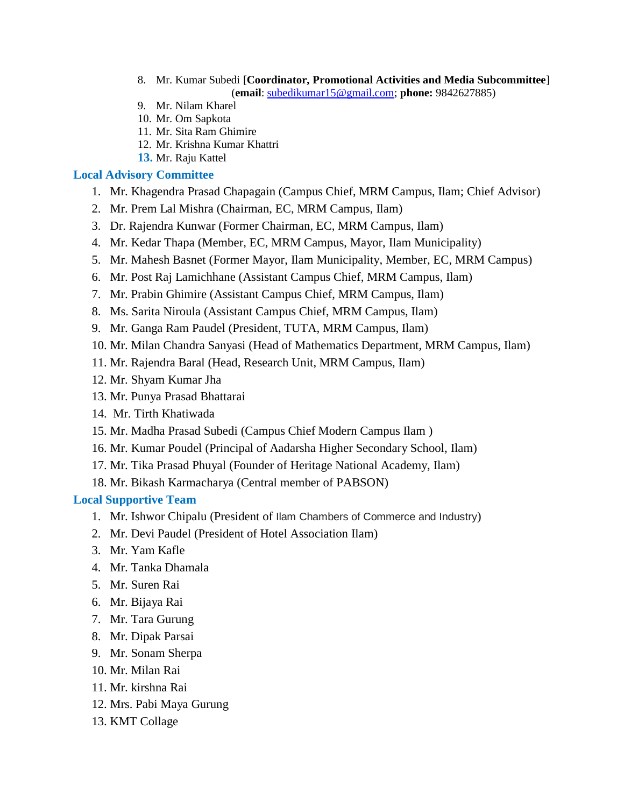- 8. Mr. Kumar Subedi [**Coordinator, Promotional Activities and Media Subcommittee**] (**email**: subedikumar1[5@gmail.com;](mailto:tpsapkota2025@gmail.com) **phone:** 9842627885)
- 9. Mr. Nilam Kharel
- 10. Mr. Om Sapkota
- 11. Mr. Sita Ram Ghimire
- 12. Mr. Krishna Kumar Khattri
- **13.** Mr. Raju Kattel

#### **Local Advisory Committee**

- 1. Mr. Khagendra Prasad Chapagain (Campus Chief, MRM Campus, Ilam; Chief Advisor)
- 2. Mr. Prem Lal Mishra (Chairman, EC, MRM Campus, Ilam)
- 3. Dr. Rajendra Kunwar (Former Chairman, EC, MRM Campus, Ilam)
- 4. Mr. Kedar Thapa (Member, EC, MRM Campus, Mayor, Ilam Municipality)
- 5. Mr. Mahesh Basnet (Former Mayor, Ilam Municipality, Member, EC, MRM Campus)
- 6. Mr. Post Raj Lamichhane (Assistant Campus Chief, MRM Campus, Ilam)
- 7. Mr. Prabin Ghimire (Assistant Campus Chief, MRM Campus, Ilam)
- 8. Ms. Sarita Niroula (Assistant Campus Chief, MRM Campus, Ilam)
- 9. Mr. Ganga Ram Paudel (President, TUTA, MRM Campus, Ilam)
- 10. Mr. Milan Chandra Sanyasi (Head of Mathematics Department, MRM Campus, Ilam)
- 11. Mr. Rajendra Baral (Head, Research Unit, MRM Campus, Ilam)
- 12. Mr. Shyam Kumar Jha
- 13. Mr. Punya Prasad Bhattarai
- 14. Mr. Tirth Khatiwada
- 15. Mr. Madha Prasad Subedi (Campus Chief Modern Campus Ilam )
- 16. Mr. Kumar Poudel (Principal of Aadarsha Higher Secondary School, Ilam)
- 17. Mr. Tika Prasad Phuyal (Founder of Heritage National Academy, Ilam)
- 18. Mr. Bikash Karmacharya (Central member of PABSON)

#### **Local Supportive Team**

- 1. Mr. Ishwor Chipalu (President of Ilam Chambers of Commerce and Industry)
- 2. Mr. Devi Paudel (President of Hotel Association Ilam)
- 3. Mr. Yam Kafle
- 4. Mr. Tanka Dhamala
- 5. Mr. Suren Rai
- 6. Mr. Bijaya Rai
- 7. Mr. Tara Gurung
- 8. Mr. Dipak Parsai
- 9. Mr. Sonam Sherpa
- 10. Mr. Milan Rai
- 11. Mr. kirshna Rai
- 12. Mrs. Pabi Maya Gurung
- 13. KMT Collage